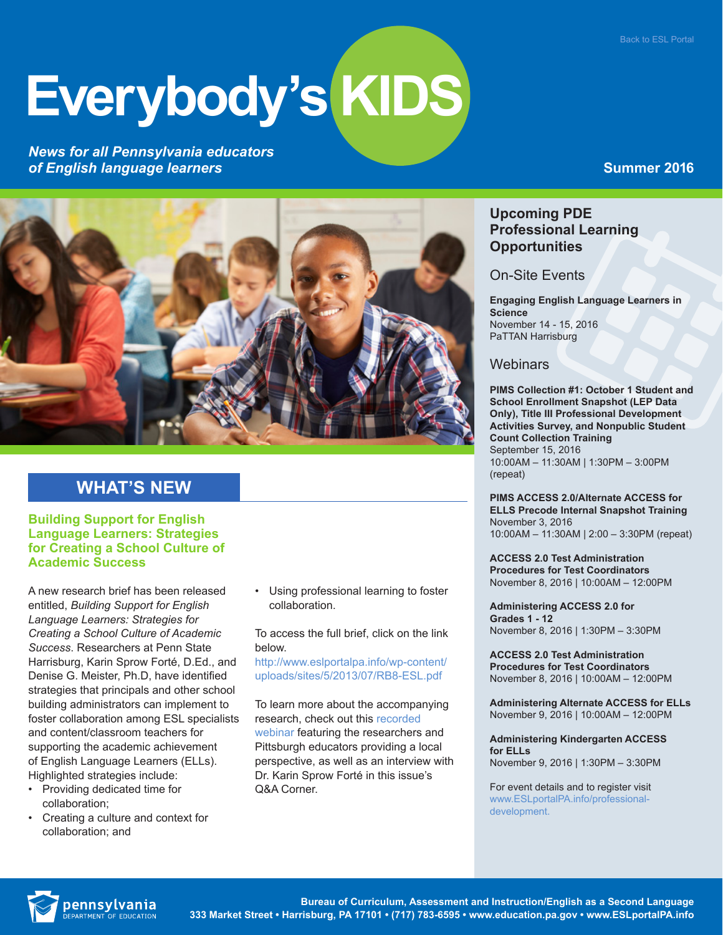# **Everybody's KIDS**

*News for all Pennsylvania educators of English language learners*

## **Summer 2016**



## **WHAT'S NEW**

#### **Building Support for English Language Learners: Strategies for Creating a School Culture of Academic Success**

A new research brief has been released entitled, *Building Support for English Language Learners: Strategies for Creating a School Culture of Academic Success*. Researchers at Penn State Harrisburg, Karin Sprow Forté, D.Ed., and Denise G. Meister, Ph.D, have identified strategies that principals and other school building administrators can implement to foster collaboration among ESL specialists and content/classroom teachers for supporting the academic achievement of English Language Learners (ELLs). Highlighted strategies include:

- Providing dedicated time for collaboration;
- Creating a culture and context for collaboration; and

• Using professional learning to foster collaboration.

To access the full brief, click on the link below.

[http://www.eslportalpa.info/wp-content/](http://www.eslportalpa.info/wp-content/uploads/sites/5/2013/07/RB8-ESL.pdf) [uploads/sites/5/2013/07/RB8-ESL.pdf](http://www.eslportalpa.info/wp-content/uploads/sites/5/2013/07/RB8-ESL.pdf)

To learn more about the accompanying research, check out this [recorded](https://vimeo.com/146791190)  [webinar](https://vimeo.com/146791190) featuring the researchers and Pittsburgh educators providing a local perspective, as well as an interview with Dr. Karin Sprow Forté in this issue's Q&A Corner.

## **Upcoming PDE Professional Learning Opportunities**

On-Site Events

**Engaging English Language Learners in Science** November 14 - 15, 2016 PaTTAN Harrisburg

## **Webinars**

**PIMS Collection #1: October 1 Student and School Enrollment Snapshot (LEP Data Only), Title III Professional Development Activities Survey, and Nonpublic Student Count Collection Training** September 15, 2016 10:00AM – 11:30AM | 1:30PM – 3:00PM (repeat)

**PIMS ACCESS 2.0/Alternate ACCESS for ELLS Precode Internal Snapshot Training** November 3, 2016 10:00AM – 11:30AM | 2:00 – 3:30PM (repeat)

**ACCESS 2.0 Test Administration Procedures for Test Coordinators**  November 8, 2016 | 10:00AM – 12:00PM

**Administering ACCESS 2.0 for Grades 1 - 12**  November 8, 2016 | 1:30PM – 3:30PM

**ACCESS 2.0 Test Administration Procedures for Test Coordinators**  November 8, 2016 | 10:00AM – 12:00PM

**Administering Alternate ACCESS for ELLs**  November 9, 2016 | 10:00AM – 12:00PM

**Administering Kindergarten ACCESS for ELLs**  November 9, 2016 | 1:30PM – 3:30PM

For event details and to register visit [www.ESLportalPA.info/professional](http://www.ESLportalPA.info/professional-development)[development.](http://www.ESLportalPA.info/professional-development)

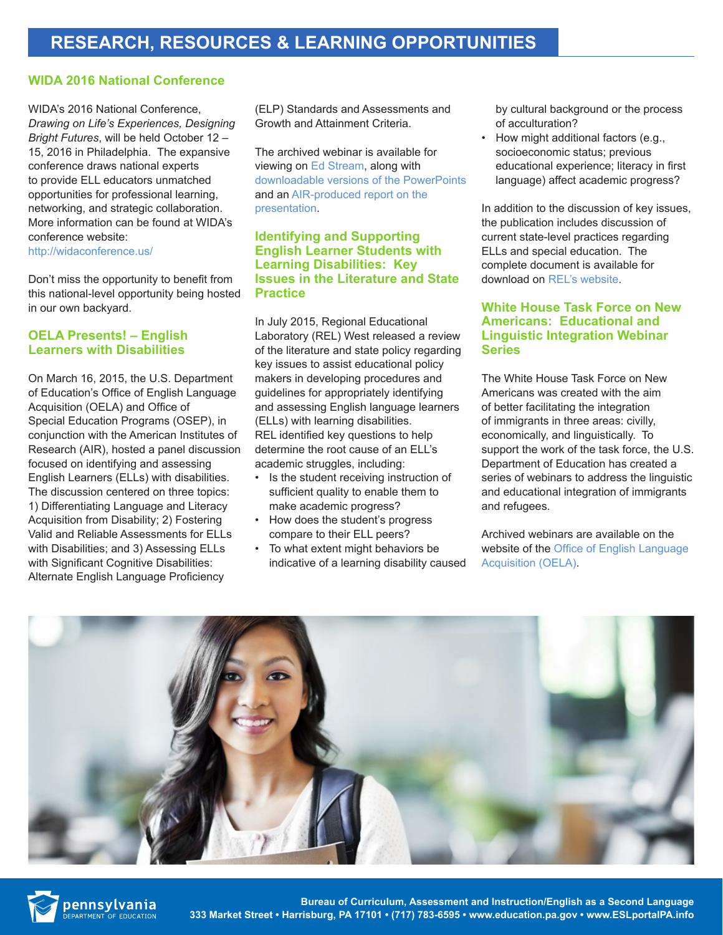#### **WIDA 2016 National Conference**

WIDA's 2016 National Conference, *Drawing on Life's Experiences, Designing Bright Futures*, will be held October 12 – 15, 2016 in Philadelphia. The expansive conference draws national experts to provide ELL educators unmatched opportunities for professional learning, networking, and strategic collaboration. More information can be found at WIDA's conference website:

<http://widaconference.us/>

Don't miss the opportunity to benefit from this national-level opportunity being hosted in our own backyard.

#### **OELA Presents! – English Learners with Disabilities**

On March 16, 2015, the U.S. Department of Education's Office of English Language Acquisition (OELA) and Office of Special Education Programs (OSEP), in conjunction with the American Institutes of Research (AIR), hosted a panel discussion focused on identifying and assessing English Learners (ELLs) with disabilities. The discussion centered on three topics: 1) Differentiating Language and Literacy Acquisition from Disability; 2) Fostering Valid and Reliable Assessments for ELLs with Disabilities; and 3) Assessing ELLs with Significant Cognitive Disabilities: Alternate English Language Proficiency

(ELP) Standards and Assessments and Growth and Attainment Criteria.

The archived webinar is available for viewing on [Ed Stream](http://edstream.ed.gov/webcast/Play/63d02888372148e68b1cb37f8da6e3511d?catalog=82d9933c-1256-4cb2-8783-89599eb97fd8), along with [downloadable versions of the PowerPoints](http://ncela.ed.gov/files/PowerPoint-508-3a.pptx)  and an [AIR-produced report on the](http://ncela.ed.gov/files/15_2037_QELPA_ELSWD_Summary_final_dla_5-15-15_508.pdf)  [presentation](http://ncela.ed.gov/files/15_2037_QELPA_ELSWD_Summary_final_dla_5-15-15_508.pdf).

#### **Identifying and Supporting English Learner Students with Learning Disabilities: Key Issues in the Literature and State Practice**

In July 2015, Regional Educational Laboratory (REL) West released a review of the literature and state policy regarding key issues to assist educational policy makers in developing procedures and guidelines for appropriately identifying and assessing English language learners (ELLs) with learning disabilities. REL identified key questions to help determine the root cause of an ELL's academic struggles, including:

- Is the student receiving instruction of sufficient quality to enable them to make academic progress?
- How does the student's progress compare to their ELL peers?
- To what extent might behaviors be indicative of a learning disability caused

by cultural background or the process of acculturation?

• How might additional factors (e.g., socioeconomic status; previous educational experience; literacy in first language) affect academic progress?

In addition to the discussion of key issues, the publication includes discussion of current state-level practices regarding ELLs and special education. The complete document is available for download on [REL's website](http://ies.ed.gov/ncee/edlabs/projects/project.asp?projectID=4483).

#### **White House Task Force on New Americans: Educational and Linguistic Integration Webinar Series**

The White House Task Force on New Americans was created with the aim of better facilitating the integration of immigrants in three areas: civilly, economically, and linguistically. To support the work of the task force, the U.S. Department of Education has created a series of webinars to address the linguistic and educational integration of immigrants and refugees.

Archived webinars are available on the website of the [Office of English Language](http://www2.ed.gov/about/offices/list/oela/webinars/new-americans/index.html)  [Acquisition \(OELA\)](http://www2.ed.gov/about/offices/list/oela/webinars/new-americans/index.html).





 **Bureau of Curriculum, Assessment and Instruction/English as a Second Language 333 Market Street • Harrisburg, PA 17101 • (717) 783-6595 • www.education.pa.gov • www.ESLportalPA.info**